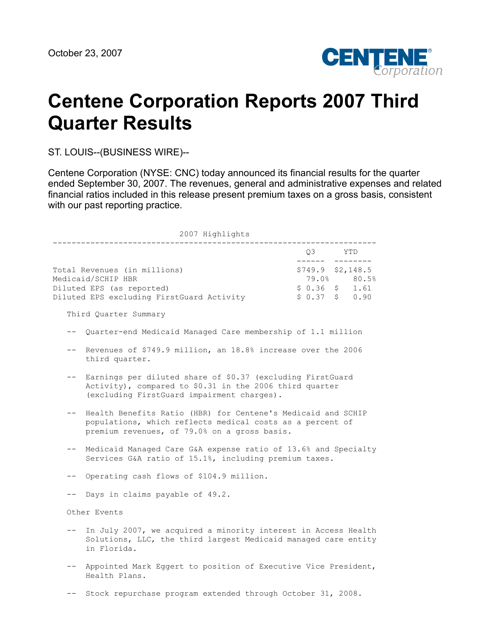

# **Centene Corporation Reports 2007 Third Quarter Results**

ST. LOUIS--(BUSINESS WIRE)--

Centene Corporation (NYSE: CNC) today announced its financial results for the quarter ended September 30, 2007. The revenues, general and administrative expenses and related financial ratios included in this release present premium taxes on a gross basis, consistent with our past reporting practice.

| 2007 Highlights                                                                                                                                                           |                                                                                                                                                 |        |                                                                                       |  |  |
|---------------------------------------------------------------------------------------------------------------------------------------------------------------------------|-------------------------------------------------------------------------------------------------------------------------------------------------|--------|---------------------------------------------------------------------------------------|--|--|
|                                                                                                                                                                           |                                                                                                                                                 |        | Q3 YTD                                                                                |  |  |
|                                                                                                                                                                           | Total Revenues (in millions)<br>Medicaid/SCHIP HBR<br>Diluted EPS (as reported)<br>Diluted EPS excluding FirstGuard Activity                    | ------ | ---------<br>$$749.9$ $$2,148.5$<br>79.0% 80.5%<br>$$0.36$ $$1.61$<br>$$0.37$ \$ 0.90 |  |  |
|                                                                                                                                                                           | Third Quarter Summary                                                                                                                           |        |                                                                                       |  |  |
|                                                                                                                                                                           | Quarter-end Medicaid Managed Care membership of 1.1 million                                                                                     |        |                                                                                       |  |  |
| $- -$                                                                                                                                                                     | Revenues of \$749.9 million, an 18.8% increase over the 2006<br>third quarter.                                                                  |        |                                                                                       |  |  |
| Earnings per diluted share of \$0.37 (excluding FirstGuard<br>Activity), compared to \$0.31 in the 2006 third quarter<br>(excluding FirstGuard impairment charges).       |                                                                                                                                                 |        |                                                                                       |  |  |
| Health Benefits Ratio (HBR) for Centene's Medicaid and SCHIP<br>populations, which reflects medical costs as a percent of<br>premium revenues, of 79.0% on a gross basis. |                                                                                                                                                 |        |                                                                                       |  |  |
| $--$                                                                                                                                                                      | Medicaid Managed Care G&A expense ratio of 13.6% and Specialty<br>Services G&A ratio of 15.1%, including premium taxes.                         |        |                                                                                       |  |  |
|                                                                                                                                                                           | Operating cash flows of \$104.9 million.                                                                                                        |        |                                                                                       |  |  |
|                                                                                                                                                                           | Days in claims payable of 49.2.                                                                                                                 |        |                                                                                       |  |  |
|                                                                                                                                                                           | Other Events                                                                                                                                    |        |                                                                                       |  |  |
| $\qquad \qquad -$                                                                                                                                                         | In July 2007, we acquired a minority interest in Access Health<br>Solutions, LLC, the third largest Medicaid managed care entity<br>in Florida. |        |                                                                                       |  |  |
|                                                                                                                                                                           | Appointed Mark Eqqert to position of Executive Vice President,<br>Health Plans.                                                                 |        |                                                                                       |  |  |
|                                                                                                                                                                           | Stock repurchase program extended through October 31, 2008.                                                                                     |        |                                                                                       |  |  |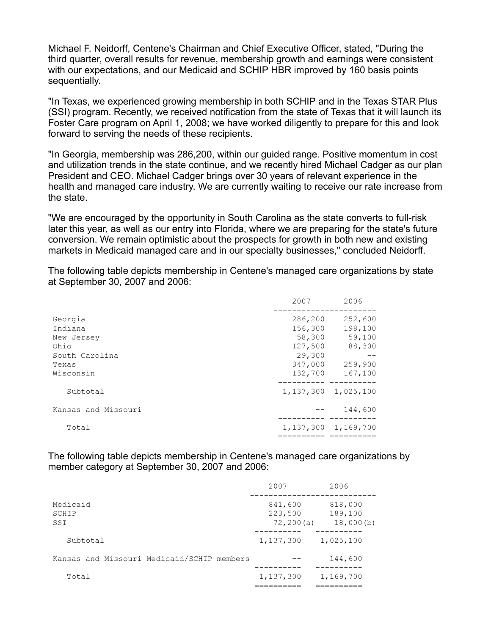Michael F. Neidorff, Centene's Chairman and Chief Executive Officer, stated, "During the third quarter, overall results for revenue, membership growth and earnings were consistent with our expectations, and our Medicaid and SCHIP HBR improved by 160 basis points sequentially.

"In Texas, we experienced growing membership in both SCHIP and in the Texas STAR Plus (SSI) program. Recently, we received notification from the state of Texas that it will launch its Foster Care program on April 1, 2008; we have worked diligently to prepare for this and look forward to serving the needs of these recipients.

"In Georgia, membership was 286,200, within our guided range. Positive momentum in cost and utilization trends in the state continue, and we recently hired Michael Cadger as our plan President and CEO. Michael Cadger brings over 30 years of relevant experience in the health and managed care industry. We are currently waiting to receive our rate increase from the state.

"We are encouraged by the opportunity in South Carolina as the state converts to full-risk later this year, as well as our entry into Florida, where we are preparing for the state's future conversion. We remain optimistic about the prospects for growth in both new and existing markets in Medicaid managed care and in our specialty businesses," concluded Neidorff.

The following table depicts membership in Centene's managed care organizations by state at September 30, 2007 and 2006:

|                     | 2007    | 2006                    |
|---------------------|---------|-------------------------|
| Georgia             | 286,200 | 252,600                 |
| Indiana             | 156,300 | 198,100                 |
| New Jersey          | 58,300  | 59,100                  |
| Ohio                | 127,500 | 88,300                  |
| South Carolina      | 29,300  |                         |
| Texas               | 347,000 | 259,900                 |
| Wisconsin           | 132,700 | 167,100                 |
| Subtotal            |         | 1, 137, 300 1, 025, 100 |
| Kansas and Missouri |         | 144,600                 |
| Total               |         | 1, 137, 300 1, 169, 700 |
|                     |         |                         |

The following table depicts membership in Centene's managed care organizations by member category at September 30, 2007 and 2006:

|                                            | 2007                             | 2006                            |
|--------------------------------------------|----------------------------------|---------------------------------|
| Medicaid<br>SCHIP<br>SSI                   | 841,600<br>223,500<br>72, 200(a) | 818,000<br>189,100<br>18,000(b) |
| Subtotal                                   | 1,137,300                        | 1,025,100                       |
| Kansas and Missouri Medicaid/SCHIP members |                                  | 144,600                         |
| Total                                      | 1,137,300                        | 1,169,700                       |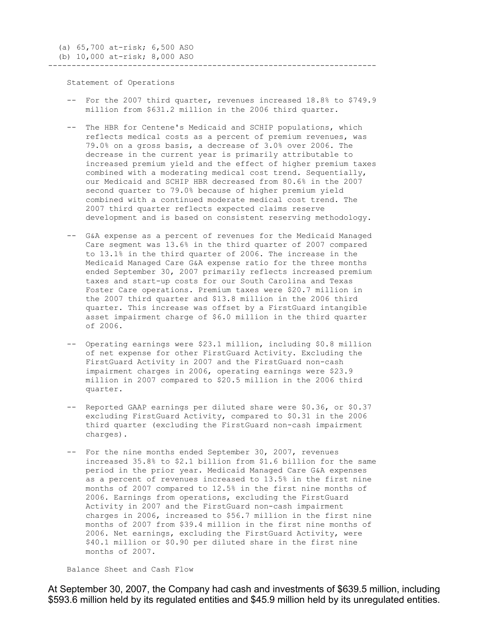Statement of Operations

 -- For the 2007 third quarter, revenues increased 18.8% to \$749.9 million from \$631.2 million in the 2006 third quarter.

----------------------------------------------------------------------

- -- The HBR for Centene's Medicaid and SCHIP populations, which reflects medical costs as a percent of premium revenues, was 79.0% on a gross basis, a decrease of 3.0% over 2006. The decrease in the current year is primarily attributable to increased premium yield and the effect of higher premium taxes combined with a moderating medical cost trend. Sequentially, our Medicaid and SCHIP HBR decreased from 80.6% in the 2007 second quarter to 79.0% because of higher premium yield combined with a continued moderate medical cost trend. The 2007 third quarter reflects expected claims reserve development and is based on consistent reserving methodology.
- -- G&A expense as a percent of revenues for the Medicaid Managed Care segment was 13.6% in the third quarter of 2007 compared to 13.1% in the third quarter of 2006. The increase in the Medicaid Managed Care G&A expense ratio for the three months ended September 30, 2007 primarily reflects increased premium taxes and start-up costs for our South Carolina and Texas Foster Care operations. Premium taxes were \$20.7 million in the 2007 third quarter and \$13.8 million in the 2006 third quarter. This increase was offset by a FirstGuard intangible asset impairment charge of \$6.0 million in the third quarter of 2006.
- -- Operating earnings were \$23.1 million, including \$0.8 million of net expense for other FirstGuard Activity. Excluding the FirstGuard Activity in 2007 and the FirstGuard non-cash impairment charges in 2006, operating earnings were \$23.9 million in 2007 compared to \$20.5 million in the 2006 third quarter.
- -- Reported GAAP earnings per diluted share were \$0.36, or \$0.37 excluding FirstGuard Activity, compared to \$0.31 in the 2006 third quarter (excluding the FirstGuard non-cash impairment charges).
- -- For the nine months ended September 30, 2007, revenues increased 35.8% to \$2.1 billion from \$1.6 billion for the same period in the prior year. Medicaid Managed Care G&A expenses as a percent of revenues increased to 13.5% in the first nine months of 2007 compared to 12.5% in the first nine months of 2006. Earnings from operations, excluding the FirstGuard Activity in 2007 and the FirstGuard non-cash impairment charges in 2006, increased to \$56.7 million in the first nine months of 2007 from \$39.4 million in the first nine months of 2006. Net earnings, excluding the FirstGuard Activity, were \$40.1 million or \$0.90 per diluted share in the first nine months of 2007.

Balance Sheet and Cash Flow

At September 30, 2007, the Company had cash and investments of \$639.5 million, including \$593.6 million held by its regulated entities and \$45.9 million held by its unregulated entities.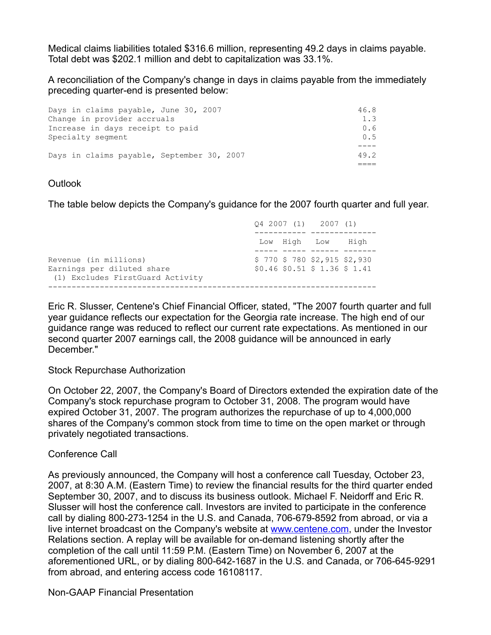Medical claims liabilities totaled \$316.6 million, representing 49.2 days in claims payable. Total debt was \$202.1 million and debt to capitalization was 33.1%.

A reconciliation of the Company's change in days in claims payable from the immediately preceding quarter-end is presented below:

| Days in claims payable, September 30, 2007 | 49.2 |
|--------------------------------------------|------|
|                                            |      |
| Specialty segment                          | 0.5  |
| Increase in days receipt to paid           | 0.6  |
| Change in provider accruals                | 1.3  |
| Days in claims payable, June 30, 2007      | 46.8 |

## **Outlook**

The table below depicts the Company's guidance for the 2007 fourth quarter and full year.

|                                                                                         | 04 2007 (1) 2007 (1)                                        |  |
|-----------------------------------------------------------------------------------------|-------------------------------------------------------------|--|
|                                                                                         | Low High Low<br>High                                        |  |
| Revenue (in millions)<br>Earnings per diluted share<br>(1) Excludes FirstGuard Activity | $$770$ \$ 780 \$2,915 \$2,930<br>\$0.46\$50.51\$51.36\$1.41 |  |

Eric R. Slusser, Centene's Chief Financial Officer, stated, "The 2007 fourth quarter and full year guidance reflects our expectation for the Georgia rate increase. The high end of our guidance range was reduced to reflect our current rate expectations. As mentioned in our second quarter 2007 earnings call, the 2008 guidance will be announced in early December."

## Stock Repurchase Authorization

On October 22, 2007, the Company's Board of Directors extended the expiration date of the Company's stock repurchase program to October 31, 2008. The program would have expired October 31, 2007. The program authorizes the repurchase of up to 4,000,000 shares of the Company's common stock from time to time on the open market or through privately negotiated transactions.

# Conference Call

As previously announced, the Company will host a conference call Tuesday, October 23, 2007, at 8:30 A.M. (Eastern Time) to review the financial results for the third quarter ended September 30, 2007, and to discuss its business outlook. Michael F. Neidorff and Eric R. Slusser will host the conference call. Investors are invited to participate in the conference call by dialing 800-273-1254 in the U.S. and Canada, 706-679-8592 from abroad, or via a live internet broadcast on the Company's website at [www.centene.com](http://www.centene.com/), under the Investor Relations section. A replay will be available for on-demand listening shortly after the completion of the call until 11:59 P.M. (Eastern Time) on November 6, 2007 at the aforementioned URL, or by dialing 800-642-1687 in the U.S. and Canada, or 706-645-9291 from abroad, and entering access code 16108117.

Non-GAAP Financial Presentation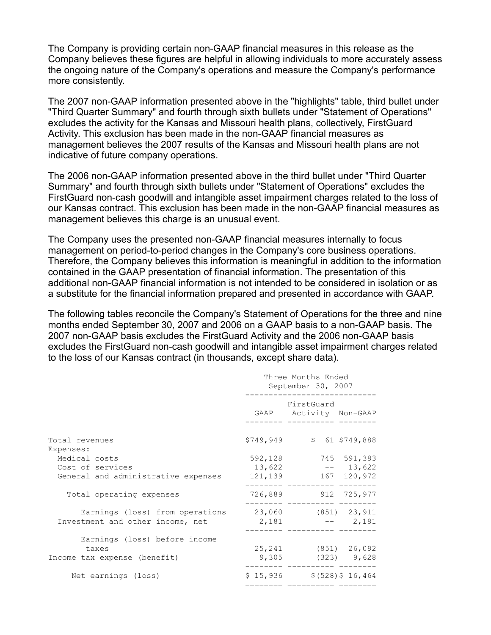The Company is providing certain non-GAAP financial measures in this release as the Company believes these figures are helpful in allowing individuals to more accurately assess the ongoing nature of the Company's operations and measure the Company's performance more consistently.

The 2007 non-GAAP information presented above in the "highlights" table, third bullet under "Third Quarter Summary" and fourth through sixth bullets under "Statement of Operations" excludes the activity for the Kansas and Missouri health plans, collectively, FirstGuard Activity. This exclusion has been made in the non-GAAP financial measures as management believes the 2007 results of the Kansas and Missouri health plans are not indicative of future company operations.

The 2006 non-GAAP information presented above in the third bullet under "Third Quarter Summary" and fourth through sixth bullets under "Statement of Operations" excludes the FirstGuard non-cash goodwill and intangible asset impairment charges related to the loss of our Kansas contract. This exclusion has been made in the non-GAAP financial measures as management believes this charge is an unusual event.

The Company uses the presented non-GAAP financial measures internally to focus management on period-to-period changes in the Company's core business operations. Therefore, the Company believes this information is meaningful in addition to the information contained in the GAAP presentation of financial information. The presentation of this additional non-GAAP financial information is not intended to be considered in isolation or as a substitute for the financial information prepared and presented in accordance with GAAP.

The following tables reconcile the Company's Statement of Operations for the three and nine months ended September 30, 2007 and 2006 on a GAAP basis to a non-GAAP basis. The 2007 non-GAAP basis excludes the FirstGuard Activity and the 2006 non-GAAP basis excludes the FirstGuard non-cash goodwill and intangible asset impairment charges related to the loss of our Kansas contract (in thousands, except share data).

|                                                     | Three Months Ended<br>September 30, 2007 |                                      |             |  |  |  |
|-----------------------------------------------------|------------------------------------------|--------------------------------------|-------------|--|--|--|
|                                                     |                                          | FirstGuard<br>GAAP Activity Non-GAAP |             |  |  |  |
| Total revenues<br>Expenses:                         |                                          | $$749,949$ $$61$ $$749,888$          |             |  |  |  |
| Medical costs                                       |                                          | 592, 128 745 591, 383                |             |  |  |  |
| Cost of services                                    | 13,622                                   |                                      | $-- 13,622$ |  |  |  |
| General and administrative expenses                 |                                          | 121, 139 167 120, 972                |             |  |  |  |
| Total operating expenses                            |                                          | 726,889 912 725,977                  |             |  |  |  |
| Earnings (loss) from operations 23,060 (851) 23,911 |                                          |                                      |             |  |  |  |
| Investment and other income, net                    |                                          | $2,181$ -- 2,181                     |             |  |  |  |
| Earnings (loss) before income                       |                                          |                                      |             |  |  |  |
| taxes                                               |                                          | 25, 241 (851) 26, 092                |             |  |  |  |
| Income tax expense (benefit)                        |                                          | $9,305$ (323) $9,628$                |             |  |  |  |
| Net earnings (loss)                                 |                                          | $$15,936$ $$(528) $16,464$           |             |  |  |  |
|                                                     |                                          |                                      |             |  |  |  |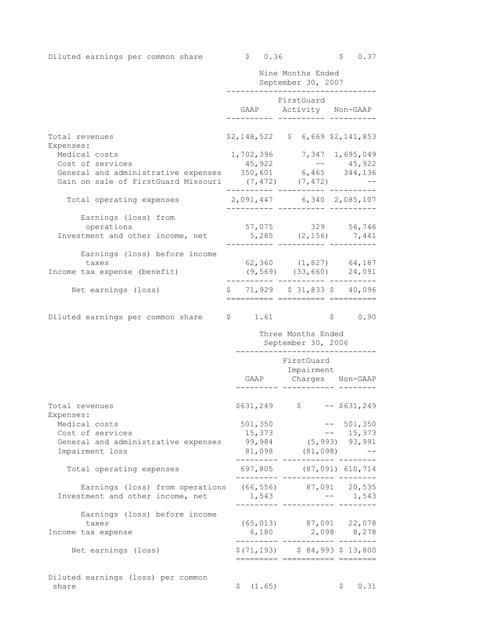Diluted earnings per common share  $\qquad \qquad$  \$ 0.36 \$ 0.37

|                                                                                                                                          |                                                                      | Nine Months Ended<br>September 30, 2007 |  |                                                               |
|------------------------------------------------------------------------------------------------------------------------------------------|----------------------------------------------------------------------|-----------------------------------------|--|---------------------------------------------------------------|
|                                                                                                                                          | GAAP Activity Non-GAAP                                               | FirstGuard                              |  |                                                               |
| Total revenues<br>Expenses:                                                                                                              | $$2,148,522 \t$ 6,669 $2,141,853$                                    |                                         |  |                                                               |
| Medical costs                                                                                                                            | 1,702,396 7,347 1,695,049                                            |                                         |  |                                                               |
| Cost of services                                                                                                                         | 45,922                                                               |                                         |  | $--$ 45,922                                                   |
| General and administrative expenses 350,601 6,465 344,136                                                                                |                                                                      |                                         |  |                                                               |
| Gain on sale of FirstGuard Missouri (7,472) (7,472) -                                                                                    |                                                                      |                                         |  |                                                               |
| Total operating expenses                                                                                                                 | 2,091,447 6,340 2,085,107<br>___________ ____________ _____          |                                         |  |                                                               |
| Earnings (loss) from                                                                                                                     |                                                                      |                                         |  |                                                               |
| operations                                                                                                                               |                                                                      |                                         |  | 57,075 329 56,746                                             |
| Investment and other income, net                                                                                                         | $5,285$ $(2,156)$ $7,441$                                            |                                         |  |                                                               |
| Earnings (loss) before income                                                                                                            |                                                                      |                                         |  |                                                               |
| taxes                                                                                                                                    | 62,360 (1,827) 64,187                                                |                                         |  |                                                               |
| Income tax expense (benefit)                                                                                                             |                                                                      |                                         |  | $(9,569)$ $(33,660)$ $24,091$<br>------- --------- ---------- |
| Net earnings (loss)                                                                                                                      | $$71,929$ $$31,833$ $$40,096$                                        |                                         |  |                                                               |
| Diluted earnings per common share \$ 1.61                                                                                                | __________ ___________ ______                                        |                                         |  | \$0.90                                                        |
|                                                                                                                                          |                                                                      |                                         |  |                                                               |
|                                                                                                                                          |                                                                      | Three Months Ended                      |  |                                                               |
|                                                                                                                                          |                                                                      | September 30, 2006<br>_______________   |  |                                                               |
|                                                                                                                                          |                                                                      | FirstGuard                              |  |                                                               |
|                                                                                                                                          |                                                                      | Impairment                              |  | GAAP Charges Non-GAAP                                         |
|                                                                                                                                          |                                                                      |                                         |  |                                                               |
| Total revenues                                                                                                                           | $$631, 249$ $$$ -- \$631, 249                                        |                                         |  |                                                               |
| Expenses:                                                                                                                                |                                                                      |                                         |  |                                                               |
| Medical costs<br>Cost of services                                                                                                        | 501,350<br>15,373                                                    |                                         |  | $-- 501,350$<br>$-- 15,373$                                   |
| General and administrative expenses                                                                                                      | 99,984 (5,993) 93,991                                                |                                         |  |                                                               |
| Impairment loss                                                                                                                          |                                                                      |                                         |  | 81,098 (81,098) --                                            |
| Total operating expenses                                                                                                                 | -------- ----------- ----<br>697,805 (87,091) 610,714                |                                         |  |                                                               |
|                                                                                                                                          |                                                                      |                                         |  |                                                               |
| Earnings (loss) from operations (66,556) 87,091 20,535<br>tment and other income, net 1,543 -- 1,543<br>Investment and other income, net |                                                                      |                                         |  |                                                               |
|                                                                                                                                          | -------- ----------- -------                                         |                                         |  |                                                               |
| Earnings (loss) before income                                                                                                            |                                                                      |                                         |  |                                                               |
| taxes<br>Income tax expense                                                                                                              |                                                                      |                                         |  | $(65, 013)$ 87,091 22,078<br>$6,180$ $2,098$ $8,278$          |
|                                                                                                                                          | __________ ____________ _______                                      |                                         |  |                                                               |
| Net earnings (loss)                                                                                                                      | $$(71, 193)$ $$84, 993$ $$13, 800$<br>========= =========== ======== |                                         |  |                                                               |
| Diluted earnings (loss) per common                                                                                                       |                                                                      |                                         |  |                                                               |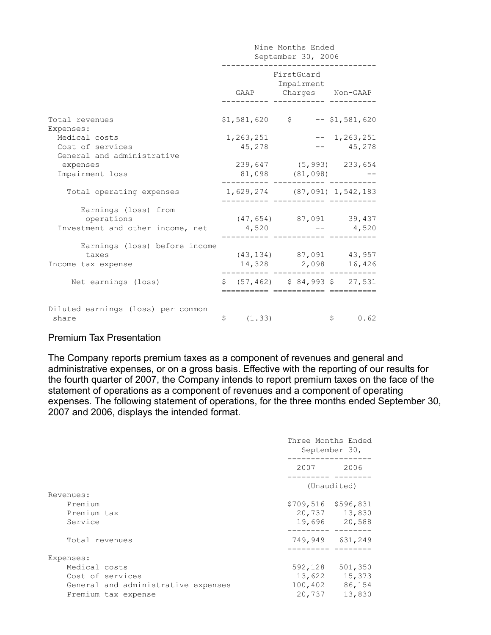|                                                                        | Nine Months Ended<br>September 30, 2006 |                                                   |                |  |  |  |  |
|------------------------------------------------------------------------|-----------------------------------------|---------------------------------------------------|----------------|--|--|--|--|
|                                                                        |                                         | FirstGuard<br>Impairment<br>GAAP Charges Non-GAAP |                |  |  |  |  |
| Total revenues<br>Expenses:                                            |                                         | $$1,581,620$ $$$ -- \$1,581,620                   |                |  |  |  |  |
| Medical costs                                                          | 1,263,251                               |                                                   | $-- 1,263,251$ |  |  |  |  |
| Cost of services                                                       | 45,278                                  |                                                   | $-- 45,278$    |  |  |  |  |
| General and administrative                                             |                                         |                                                   |                |  |  |  |  |
| expenses                                                               |                                         | 239,647 (5,993) 233,654                           |                |  |  |  |  |
| Impairment loss                                                        |                                         | 81,098 (81,098)                                   |                |  |  |  |  |
| Total operating expenses                                               |                                         | 1,629,274 (87,091) 1,542,183                      |                |  |  |  |  |
| Earnings (loss) from<br>operations<br>Investment and other income, net | 4,520                                   | $(47, 654)$ 87,091 39,437                         | $-- 4,520$     |  |  |  |  |
| Earnings (loss) before income<br>taxes                                 |                                         | $(43, 134)$ 87,091 43,957                         |                |  |  |  |  |
| Income tax expense                                                     |                                         | 14,328 2,098                                      | 16,426         |  |  |  |  |
| Net earnings (loss)                                                    |                                         | $$$ (57,462) $$$ 84,993 $$$ 27,531                |                |  |  |  |  |
| Diluted earnings (loss) per common<br>share                            | \$(1.33)                                |                                                   | \$0.62         |  |  |  |  |

# Premium Tax Presentation

The Company reports premium taxes as a component of revenues and general and administrative expenses, or on a gross basis. Effective with the reporting of our results for the fourth quarter of 2007, the Company intends to report premium taxes on the face of the statement of operations as a component of revenues and a component of operating expenses. The following statement of operations, for the three months ended September 30, 2007 and 2006, displays the intended format.

|                                                                                                                                                                                                                                 | Three Months Ended<br>September 30,   |
|---------------------------------------------------------------------------------------------------------------------------------------------------------------------------------------------------------------------------------|---------------------------------------|
| 2007 — 2007 — 2007 — 2007 — 2007 — 2007 — 2007 — 2007 — 2008 — 2008 — 2008 — 2008 — 2008 — 2008 — 2008 — 2008 — 2008 — 2008 — 2008 — 2008 — 2008 — 2008 — 2008 — 2008 — 2008 — 2008 — 2008 — 2008 — 2008 — 2008 — 2008 — 2008 — | 2006                                  |
|                                                                                                                                                                                                                                 | (Unaudited)                           |
| \$709,516<br>20,737<br>19,696                                                                                                                                                                                                   | \$596,831<br>13,830<br>20,588         |
| 749,949                                                                                                                                                                                                                         | 631,249                               |
| 592,128<br>13,622<br>100,402                                                                                                                                                                                                    | 501,350<br>15,373<br>86,154<br>13,830 |
|                                                                                                                                                                                                                                 | 20,737                                |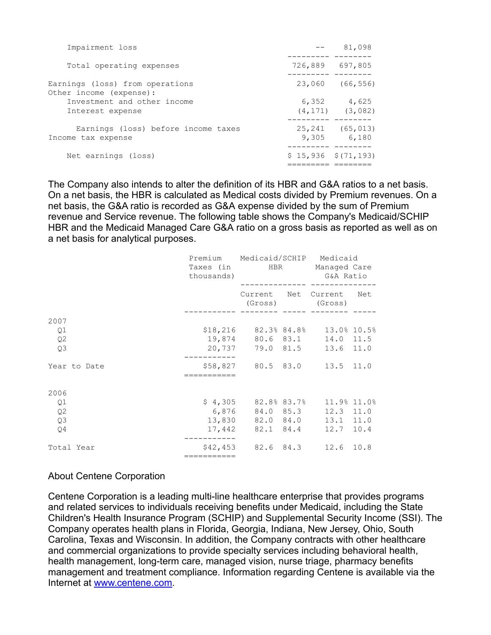| Impairment loss                                            |                       | 81,098                         |
|------------------------------------------------------------|-----------------------|--------------------------------|
| Total operating expenses                                   |                       | 726,889 697,805                |
| Earnings (loss) from operations<br>Other income (expense): |                       | 23,060 (66,556)                |
| Investment and other income<br>Interest expense            | 6,352                 | 4,625<br>$(4, 171)$ $(3, 082)$ |
| Earnings (loss) before income taxes<br>Income tax expense  | 9,305                 | 25, 241 (65, 013)<br>6,180     |
| Net earnings (loss)                                        | $$15,936$ $$(71,193)$ |                                |

The Company also intends to alter the definition of its HBR and G&A ratios to a net basis. On a net basis, the HBR is calculated as Medical costs divided by Premium revenues. On a net basis, the G&A ratio is recorded as G&A expense divided by the sum of Premium revenue and Service revenue. The following table shows the Company's Medicaid/SCHIP HBR and the Medicaid Managed Care G&A ratio on a gross basis as reported as well as on a net basis for analytical purposes.

|              | thousands)  | Premium Medicaid/SCHIP Medicaid<br>Taxes (in Taxes HBR Managed Care |  | G&A Ratio                              |     |  |
|--------------|-------------|---------------------------------------------------------------------|--|----------------------------------------|-----|--|
|              |             |                                                                     |  | Current Net Current<br>(Gross) (Gross) | Net |  |
| 2007         |             |                                                                     |  |                                        |     |  |
| Q1           |             | \$18,216 82.3% 84.8% 13.0% 10.5%                                    |  |                                        |     |  |
| Q2           |             | 19,874 80.6 83.1 14.0 11.5                                          |  |                                        |     |  |
| Q3           |             | 20,737 79.0 81.5 13.6 11.0                                          |  |                                        |     |  |
| Year to Date | =========== | \$58,827 80.5 83.0 13.5 11.0                                        |  |                                        |     |  |
| 2006         |             |                                                                     |  |                                        |     |  |
| Q1           |             | $$4,305$ $82.8$ $83.7$ $11.9$ $11.0$                                |  |                                        |     |  |
| Q2           |             | 6,876 84.0 85.3 12.3 11.0                                           |  |                                        |     |  |
| Q3           |             | 13,830 82.0 84.0 13.1 11.0                                          |  |                                        |     |  |
| Q4           |             | 17,442 82.1 84.4 12.7 10.4                                          |  |                                        |     |  |
| Total Year   |             | \$42,453 82.6 84.3 12.6 10.8                                        |  |                                        |     |  |
|              | =========== |                                                                     |  |                                        |     |  |

# About Centene Corporation

Centene Corporation is a leading multi-line healthcare enterprise that provides programs and related services to individuals receiving benefits under Medicaid, including the State Children's Health Insurance Program (SCHIP) and Supplemental Security Income (SSI). The Company operates health plans in Florida, Georgia, Indiana, New Jersey, Ohio, South Carolina, Texas and Wisconsin. In addition, the Company contracts with other healthcare and commercial organizations to provide specialty services including behavioral health, health management, long-term care, managed vision, nurse triage, pharmacy benefits management and treatment compliance. Information regarding Centene is available via the Internet at [www.centene.com](http://www.centene.com/).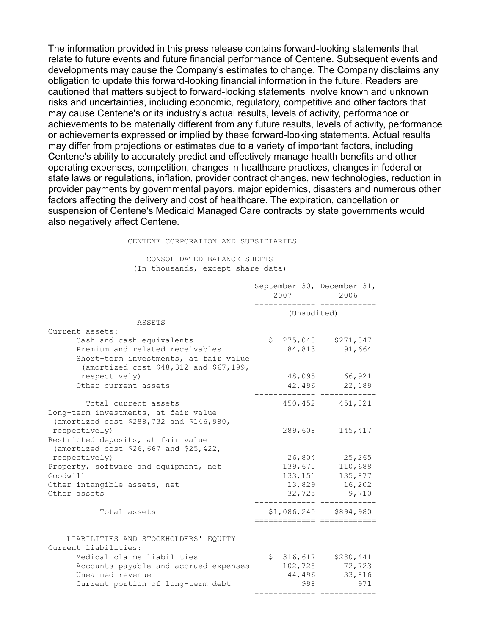The information provided in this press release contains forward-looking statements that relate to future events and future financial performance of Centene. Subsequent events and developments may cause the Company's estimates to change. The Company disclaims any obligation to update this forward-looking financial information in the future. Readers are cautioned that matters subject to forward-looking statements involve known and unknown risks and uncertainties, including economic, regulatory, competitive and other factors that may cause Centene's or its industry's actual results, levels of activity, performance or achievements to be materially different from any future results, levels of activity, performance or achievements expressed or implied by these forward-looking statements. Actual results may differ from projections or estimates due to a variety of important factors, including Centene's ability to accurately predict and effectively manage health benefits and other operating expenses, competition, changes in healthcare practices, changes in federal or state laws or regulations, inflation, provider contract changes, new technologies, reduction in provider payments by governmental payors, major epidemics, disasters and numerous other factors affecting the delivery and cost of healthcare. The expiration, cancellation or suspension of Centene's Medicaid Managed Care contracts by state governments would also negatively affect Centene.

#### CENTENE CORPORATION AND SUBSIDIARIES

#### CONSOLIDATED BALANCE SHEETS (In thousands, except share data)

|                                                                                                                                                 | September 30, December 31,<br>2007 |             | 2006    |                                 |     |
|-------------------------------------------------------------------------------------------------------------------------------------------------|------------------------------------|-------------|---------|---------------------------------|-----|
|                                                                                                                                                 |                                    | (Unaudited) |         |                                 |     |
| ASSETS                                                                                                                                          |                                    |             |         |                                 |     |
| Current assets:                                                                                                                                 |                                    |             |         |                                 |     |
| Cash and cash equivalents<br>Premium and related receivables<br>Short-term investments, at fair value<br>(amortized cost \$48,312 and \$67,199, |                                    |             | 84,813  | $$275,048$ $$271,047$<br>91,664 |     |
| respectively)                                                                                                                                   |                                    |             |         | 48,095 66,921                   |     |
| Other current assets                                                                                                                            |                                    |             |         | 42,496 22,189                   |     |
| Total current assets<br>Long-term investments, at fair value<br>(amortized cost \$288,732 and \$146,980,                                        |                                    |             |         | 450,452 451,821                 |     |
| respectively)<br>Restricted deposits, at fair value<br>(amortized cost \$26,667 and \$25,422,                                                   |                                    |             | 289,608 | 145,417                         |     |
| respectively)                                                                                                                                   |                                    |             |         | 26,804 25,265                   |     |
| Property, software and equipment, net                                                                                                           |                                    |             | 139,671 | 110,688                         |     |
| Goodwill                                                                                                                                        |                                    |             | 133,151 | 135,877                         |     |
| Other intangible assets, net                                                                                                                    |                                    |             |         | 13,829 16,202                   |     |
| Other assets                                                                                                                                    |                                    |             |         | 32,725 9,710                    |     |
| Total assets                                                                                                                                    |                                    |             |         | $$1,086,240$ $$894,980$         |     |
| LIABILITIES AND STOCKHOLDERS' EQUITY<br>Current liabilities:                                                                                    |                                    |             |         |                                 |     |
| Medical claims liabilities                                                                                                                      |                                    |             |         | $$316,617$ $$280,441$           |     |
| Accounts payable and accrued expenses                                                                                                           |                                    |             |         | 102,728 72,723                  |     |
| Unearned revenue                                                                                                                                |                                    |             |         | 44,496<br>33,816                |     |
| Current portion of long-term debt                                                                                                               |                                    |             | 998     |                                 | 971 |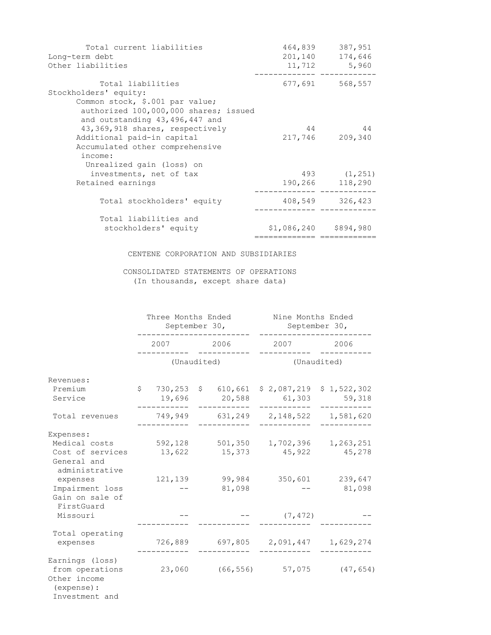| Total current liabilities             | 464,839                 | 387,951         |
|---------------------------------------|-------------------------|-----------------|
| Long-term debt                        | 201,140                 | 174,646         |
| Other liabilities                     | 11,712                  | 5,960           |
| Total liabilities                     | 677,691                 | 568,557         |
| Stockholders' equity:                 |                         |                 |
| Common stock, \$.001 par value;       |                         |                 |
| authorized 100,000,000 shares; issued |                         |                 |
| and outstanding 43,496,447 and        |                         |                 |
| 43,369,918 shares, respectively       | 44                      | 44              |
| Additional paid-in capital            |                         | 217,746 209,340 |
| Accumulated other comprehensive       |                         |                 |
| income:                               |                         |                 |
| Unrealized gain (loss) on             |                         |                 |
| investments, net of tax               |                         | 493 (1,251)     |
| Retained earnings                     | 190,266                 | 118,290         |
| Total stockholders' equity            |                         | 408,549 326,423 |
|                                       |                         |                 |
| Total liabilities and                 |                         |                 |
| stockholders' equity                  | $$1,086,240$ $$894,980$ |                 |
|                                       | -----------             |                 |

## CENTENE CORPORATION AND SUBSIDIARIES

## CONSOLIDATED STATEMENTS OF OPERATIONS (In thousands, except share data)

|                                                                                     | Three Months Ended<br>September 30, |         |  |                                | Nine Months Ended<br>September 30, |                            |  |  |
|-------------------------------------------------------------------------------------|-------------------------------------|---------|--|--------------------------------|------------------------------------|----------------------------|--|--|
|                                                                                     |                                     |         |  | 2007 2006                      | 2007 2006                          |                            |  |  |
|                                                                                     |                                     |         |  | (Unaudited)                    |                                    | (Unaudited)                |  |  |
| Revenues:                                                                           |                                     |         |  |                                |                                    |                            |  |  |
| Premium<br>Service                                                                  |                                     | 19,696  |  | $$730,253$ \$610,661<br>20,588 | \$2,087,219<br>61,303              | \$1,522,302<br>59,318      |  |  |
| Total revenues                                                                      |                                     | 749,949 |  |                                | 631,249 2,148,522 1,581,620        |                            |  |  |
| Expenses:                                                                           |                                     |         |  |                                |                                    |                            |  |  |
| Medical costs<br>Cost of services                                                   |                                     | 13,622  |  | 592,128 501,350<br>15,373      | 1,702,396                          | 1,263,251<br>45,922 45,278 |  |  |
| General and<br>administrative                                                       |                                     |         |  |                                |                                    |                            |  |  |
| expenses                                                                            |                                     | 121,139 |  | 99,984                         | 350,601                            | 239,647                    |  |  |
| Impairment loss<br>Gain on sale of<br>FirstGuard                                    |                                     |         |  | 81,098                         |                                    | 81,098                     |  |  |
| Missouri                                                                            |                                     |         |  |                                | (7, 472)                           |                            |  |  |
| Total operating<br>expenses                                                         |                                     | 726,889 |  |                                | 697,805 2,091,447 1,629,274        |                            |  |  |
| Earnings (loss)<br>from operations<br>Other income<br>(expense) :<br>Investment and |                                     |         |  |                                | 23,060 (66,556) 57,075             | (47, 654)                  |  |  |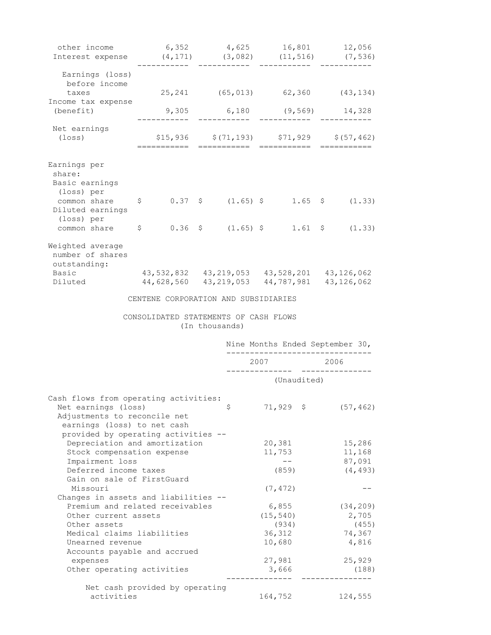| other income<br>Interest expense (4,171) (3,082) (11,516) (7,536)                                                           |                                                                                                  |                |              | 6,352 $4,625$ 16,801 12,056                                                  |                                             |                  |
|-----------------------------------------------------------------------------------------------------------------------------|--------------------------------------------------------------------------------------------------|----------------|--------------|------------------------------------------------------------------------------|---------------------------------------------|------------------|
| Earnings (loss)<br>before income                                                                                            |                                                                                                  |                |              |                                                                              |                                             |                  |
| taxes                                                                                                                       |                                                                                                  |                |              | 25, 241 (65, 013) 62, 360 (43, 134)                                          |                                             |                  |
| Income tax expense<br>(benefit)                                                                                             |                                                                                                  |                | ------------ | $9,305$ 6,180 (9,569) 14,328                                                 |                                             |                  |
| Net earnings                                                                                                                |                                                                                                  |                |              |                                                                              |                                             |                  |
| (loss)                                                                                                                      |                                                                                                  |                |              |                                                                              | $$15,936$ $$(71,193)$ $$71,929$ $$(57,462)$ |                  |
| Earnings per<br>share:<br>Basic earnings<br>(loss) per                                                                      |                                                                                                  |                |              |                                                                              |                                             |                  |
| common share \$<br>Diluted earnings                                                                                         |                                                                                                  |                |              | $0.37 \quad \xi \qquad (1.65) \quad \xi \qquad 1.65 \quad \xi \qquad (1.33)$ |                                             |                  |
| (loss) per<br>common share                                                                                                  | $\mathsf{S}$                                                                                     |                |              |                                                                              |                                             |                  |
| Weighted average<br>number of shares<br>outstanding:<br>Basic<br>Diluted                                                    | 43,532,832  43,219,053  43,528,201  43,126,062<br>44,628,560  43,219,053  44,787,981  43,126,062 |                |              |                                                                              |                                             |                  |
|                                                                                                                             |                                                                                                  |                |              |                                                                              |                                             |                  |
|                                                                                                                             | CENTENE CORPORATION AND SUBSIDIARIES                                                             |                |              |                                                                              |                                             |                  |
|                                                                                                                             | CONSOLIDATED STATEMENTS OF CASH FLOWS                                                            | (In thousands) |              |                                                                              |                                             |                  |
|                                                                                                                             |                                                                                                  |                |              | Nine Months Ended September 30,                                              |                                             |                  |
|                                                                                                                             |                                                                                                  |                |              | 2007                                                                         | 2006<br>____________                        |                  |
|                                                                                                                             |                                                                                                  |                |              | (Unaudited)                                                                  |                                             |                  |
| Cash flows from operating activities:<br>Net earnings (loss)<br>Adjustments to reconcile net<br>earnings (loss) to net cash |                                                                                                  |                | Ş            | $71,929$ \$                                                                  |                                             | (57, 462)        |
| provided by operating activities --                                                                                         |                                                                                                  |                |              |                                                                              |                                             |                  |
| Depreciation and amortization<br>Stock compensation expense                                                                 |                                                                                                  |                |              | 20,381<br>11,753                                                             |                                             | 15,286<br>11,168 |
| Impairment loss                                                                                                             |                                                                                                  |                |              | $- -$                                                                        |                                             | 87,091           |
| Deferred income taxes                                                                                                       |                                                                                                  |                |              | (859)                                                                        |                                             | (4, 493)         |
| Gain on sale of FirstGuard<br>Missouri                                                                                      |                                                                                                  |                |              | (7, 472)                                                                     |                                             |                  |
| Changes in assets and liabilities --<br>Premium and related receivables                                                     |                                                                                                  |                |              | 6,855                                                                        |                                             | (34, 209)        |
| Other current assets                                                                                                        |                                                                                                  |                |              | (15, 540)                                                                    |                                             | 2,705            |
| Other assets                                                                                                                |                                                                                                  |                |              | (934)                                                                        |                                             | (455)            |
| Medical claims liabilities                                                                                                  |                                                                                                  |                |              | 36,312                                                                       |                                             | 74,367           |
| Unearned revenue                                                                                                            |                                                                                                  |                |              | 10,680                                                                       |                                             | 4,816            |
| Accounts payable and accrued                                                                                                |                                                                                                  |                |              |                                                                              |                                             |                  |
| expenses<br>Other operating activities                                                                                      |                                                                                                  |                |              | 27,981<br>3,666                                                              |                                             | 25,929<br>(188)  |
|                                                                                                                             | Net cash provided by operating                                                                   |                |              |                                                                              |                                             |                  |
| activities                                                                                                                  |                                                                                                  |                |              | 164,752                                                                      |                                             | 124,555          |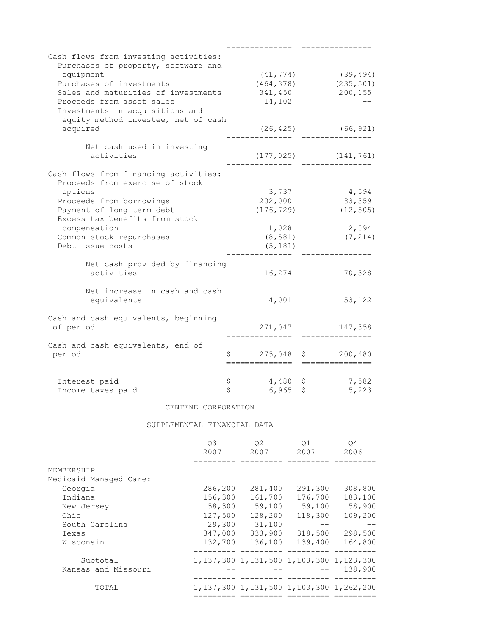| Cash flows from investing activities:<br>Purchases of property, software and<br>(41, 774)<br>equipment<br>(39, 494)<br>Purchases of investments<br>(235, 501)<br>(464, 378)<br>Sales and maturities of investments<br>200, 155<br>341,450<br>Proceeds from asset sales<br>14,102<br>Investments in acquisitions and<br>equity method investee, net of cash<br>acquired<br>(26, 425)<br>(66, 921)<br>Net cash used in investing<br>activities<br>$(177, 025)$ $(141, 761)$<br>Cash flows from financing activities:<br>Proceeds from exercise of stock<br>3,737<br>4,594<br>options<br>202,000<br>83,359<br>Proceeds from borrowings<br>Payment of long-term debt<br>(176, 729)<br>(12, 505)<br>Excess tax benefits from stock<br>compensation<br>1,028<br>2,094<br>Common stock repurchases<br>(8, 581)<br>(7, 214)<br>Debt issue costs<br>(5, 181)<br>Net cash provided by financing<br>activities<br>70,328<br>16,274<br>Net increase in cash and cash<br>equivalents<br>4,001<br>53,122<br>Cash and cash equivalents, beginning<br>of period<br>271,047<br>147,358<br>Cash and cash equivalents, end of<br>period<br>\$275,048<br>200,480<br>Ş.<br>\$<br>Interest paid<br>4,480<br>\$<br>7,582 |  |  |  |
|---------------------------------------------------------------------------------------------------------------------------------------------------------------------------------------------------------------------------------------------------------------------------------------------------------------------------------------------------------------------------------------------------------------------------------------------------------------------------------------------------------------------------------------------------------------------------------------------------------------------------------------------------------------------------------------------------------------------------------------------------------------------------------------------------------------------------------------------------------------------------------------------------------------------------------------------------------------------------------------------------------------------------------------------------------------------------------------------------------------------------------------------------------------------------------------------------|--|--|--|
|                                                                                                                                                                                                                                                                                                                                                                                                                                                                                                                                                                                                                                                                                                                                                                                                                                                                                                                                                                                                                                                                                                                                                                                                   |  |  |  |
|                                                                                                                                                                                                                                                                                                                                                                                                                                                                                                                                                                                                                                                                                                                                                                                                                                                                                                                                                                                                                                                                                                                                                                                                   |  |  |  |
|                                                                                                                                                                                                                                                                                                                                                                                                                                                                                                                                                                                                                                                                                                                                                                                                                                                                                                                                                                                                                                                                                                                                                                                                   |  |  |  |
|                                                                                                                                                                                                                                                                                                                                                                                                                                                                                                                                                                                                                                                                                                                                                                                                                                                                                                                                                                                                                                                                                                                                                                                                   |  |  |  |
|                                                                                                                                                                                                                                                                                                                                                                                                                                                                                                                                                                                                                                                                                                                                                                                                                                                                                                                                                                                                                                                                                                                                                                                                   |  |  |  |
|                                                                                                                                                                                                                                                                                                                                                                                                                                                                                                                                                                                                                                                                                                                                                                                                                                                                                                                                                                                                                                                                                                                                                                                                   |  |  |  |
|                                                                                                                                                                                                                                                                                                                                                                                                                                                                                                                                                                                                                                                                                                                                                                                                                                                                                                                                                                                                                                                                                                                                                                                                   |  |  |  |
|                                                                                                                                                                                                                                                                                                                                                                                                                                                                                                                                                                                                                                                                                                                                                                                                                                                                                                                                                                                                                                                                                                                                                                                                   |  |  |  |
|                                                                                                                                                                                                                                                                                                                                                                                                                                                                                                                                                                                                                                                                                                                                                                                                                                                                                                                                                                                                                                                                                                                                                                                                   |  |  |  |
|                                                                                                                                                                                                                                                                                                                                                                                                                                                                                                                                                                                                                                                                                                                                                                                                                                                                                                                                                                                                                                                                                                                                                                                                   |  |  |  |
|                                                                                                                                                                                                                                                                                                                                                                                                                                                                                                                                                                                                                                                                                                                                                                                                                                                                                                                                                                                                                                                                                                                                                                                                   |  |  |  |
|                                                                                                                                                                                                                                                                                                                                                                                                                                                                                                                                                                                                                                                                                                                                                                                                                                                                                                                                                                                                                                                                                                                                                                                                   |  |  |  |
|                                                                                                                                                                                                                                                                                                                                                                                                                                                                                                                                                                                                                                                                                                                                                                                                                                                                                                                                                                                                                                                                                                                                                                                                   |  |  |  |
|                                                                                                                                                                                                                                                                                                                                                                                                                                                                                                                                                                                                                                                                                                                                                                                                                                                                                                                                                                                                                                                                                                                                                                                                   |  |  |  |
|                                                                                                                                                                                                                                                                                                                                                                                                                                                                                                                                                                                                                                                                                                                                                                                                                                                                                                                                                                                                                                                                                                                                                                                                   |  |  |  |
|                                                                                                                                                                                                                                                                                                                                                                                                                                                                                                                                                                                                                                                                                                                                                                                                                                                                                                                                                                                                                                                                                                                                                                                                   |  |  |  |
|                                                                                                                                                                                                                                                                                                                                                                                                                                                                                                                                                                                                                                                                                                                                                                                                                                                                                                                                                                                                                                                                                                                                                                                                   |  |  |  |
|                                                                                                                                                                                                                                                                                                                                                                                                                                                                                                                                                                                                                                                                                                                                                                                                                                                                                                                                                                                                                                                                                                                                                                                                   |  |  |  |
|                                                                                                                                                                                                                                                                                                                                                                                                                                                                                                                                                                                                                                                                                                                                                                                                                                                                                                                                                                                                                                                                                                                                                                                                   |  |  |  |
|                                                                                                                                                                                                                                                                                                                                                                                                                                                                                                                                                                                                                                                                                                                                                                                                                                                                                                                                                                                                                                                                                                                                                                                                   |  |  |  |
|                                                                                                                                                                                                                                                                                                                                                                                                                                                                                                                                                                                                                                                                                                                                                                                                                                                                                                                                                                                                                                                                                                                                                                                                   |  |  |  |
|                                                                                                                                                                                                                                                                                                                                                                                                                                                                                                                                                                                                                                                                                                                                                                                                                                                                                                                                                                                                                                                                                                                                                                                                   |  |  |  |
|                                                                                                                                                                                                                                                                                                                                                                                                                                                                                                                                                                                                                                                                                                                                                                                                                                                                                                                                                                                                                                                                                                                                                                                                   |  |  |  |
|                                                                                                                                                                                                                                                                                                                                                                                                                                                                                                                                                                                                                                                                                                                                                                                                                                                                                                                                                                                                                                                                                                                                                                                                   |  |  |  |
|                                                                                                                                                                                                                                                                                                                                                                                                                                                                                                                                                                                                                                                                                                                                                                                                                                                                                                                                                                                                                                                                                                                                                                                                   |  |  |  |
|                                                                                                                                                                                                                                                                                                                                                                                                                                                                                                                                                                                                                                                                                                                                                                                                                                                                                                                                                                                                                                                                                                                                                                                                   |  |  |  |
|                                                                                                                                                                                                                                                                                                                                                                                                                                                                                                                                                                                                                                                                                                                                                                                                                                                                                                                                                                                                                                                                                                                                                                                                   |  |  |  |
|                                                                                                                                                                                                                                                                                                                                                                                                                                                                                                                                                                                                                                                                                                                                                                                                                                                                                                                                                                                                                                                                                                                                                                                                   |  |  |  |
|                                                                                                                                                                                                                                                                                                                                                                                                                                                                                                                                                                                                                                                                                                                                                                                                                                                                                                                                                                                                                                                                                                                                                                                                   |  |  |  |
|                                                                                                                                                                                                                                                                                                                                                                                                                                                                                                                                                                                                                                                                                                                                                                                                                                                                                                                                                                                                                                                                                                                                                                                                   |  |  |  |
|                                                                                                                                                                                                                                                                                                                                                                                                                                                                                                                                                                                                                                                                                                                                                                                                                                                                                                                                                                                                                                                                                                                                                                                                   |  |  |  |
|                                                                                                                                                                                                                                                                                                                                                                                                                                                                                                                                                                                                                                                                                                                                                                                                                                                                                                                                                                                                                                                                                                                                                                                                   |  |  |  |
|                                                                                                                                                                                                                                                                                                                                                                                                                                                                                                                                                                                                                                                                                                                                                                                                                                                                                                                                                                                                                                                                                                                                                                                                   |  |  |  |
|                                                                                                                                                                                                                                                                                                                                                                                                                                                                                                                                                                                                                                                                                                                                                                                                                                                                                                                                                                                                                                                                                                                                                                                                   |  |  |  |
|                                                                                                                                                                                                                                                                                                                                                                                                                                                                                                                                                                                                                                                                                                                                                                                                                                                                                                                                                                                                                                                                                                                                                                                                   |  |  |  |
| \$<br>\$<br>6,965<br>5,223<br>Income taxes paid                                                                                                                                                                                                                                                                                                                                                                                                                                                                                                                                                                                                                                                                                                                                                                                                                                                                                                                                                                                                                                                                                                                                                   |  |  |  |

## CENTENE CORPORATION

### SUPPLEMENTAL FINANCIAL DATA

|                        | O3<br>2007 | 02<br>2007                                      | 01<br>2007 | O4<br>2006 |
|------------------------|------------|-------------------------------------------------|------------|------------|
| MEMBERSHIP             |            |                                                 |            |            |
| Medicaid Managed Care: |            |                                                 |            |            |
| Georgia                | 286,200    | 281,400                                         | 291,300    | 308,800    |
| Indiana                | 156,300    | 161,700                                         | 176,700    | 183,100    |
| New Jersey             | 58,300     | 59,100                                          | 59,100     | 58,900     |
| Ohio                   | 127,500    | 128,200                                         | 118,300    | 109,200    |
| South Carolina         | 29,300     | 31,100                                          |            |            |
| Texas                  | 347,000    | 333,900                                         | 318,500    | 298,500    |
| Wisconsin              | 132,700    | 136,100                                         | 139,400    | 164,800    |
|                        |            |                                                 |            |            |
| Subtotal               |            | 1, 137, 300 1, 131, 500 1, 103, 300 1, 123, 300 |            |            |
| Kansas and Missouri    |            |                                                 |            | 138,900    |
|                        |            |                                                 |            |            |
| TOTAL                  |            | 1, 137, 300 1, 131, 500 1, 103, 300 1, 262, 200 |            |            |
|                        |            |                                                 |            |            |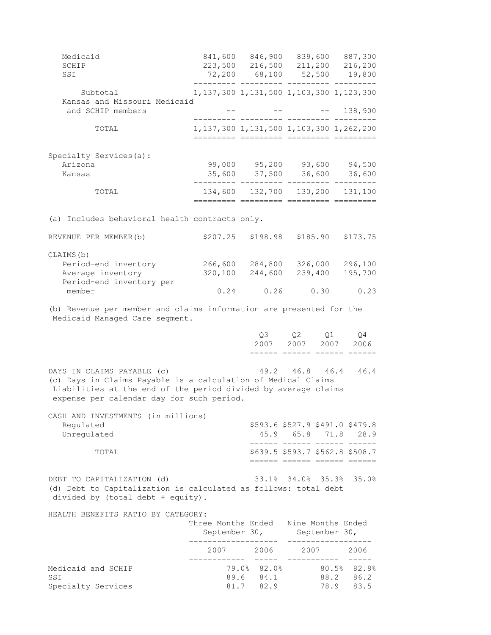| Medicaid                                                                                                                                                                                                   |                                                                     | 841,600 846,900 839,600                        |                 |            | 887,300                                                                               |
|------------------------------------------------------------------------------------------------------------------------------------------------------------------------------------------------------------|---------------------------------------------------------------------|------------------------------------------------|-----------------|------------|---------------------------------------------------------------------------------------|
| SCHIP                                                                                                                                                                                                      |                                                                     | 223,500 216,500<br>72,200 68,100               |                 | 211,200    | 216,200                                                                               |
| SSI                                                                                                                                                                                                        |                                                                     |                                                | 52,500          |            | 19,800                                                                                |
| Subtotal<br>Kansas and Missouri Medicaid                                                                                                                                                                   | 1, 137, 300 1, 131, 500 1, 103, 300 1, 123, 300                     |                                                |                 |            |                                                                                       |
| and SCHIP members                                                                                                                                                                                          |                                                                     |                                                |                 |            | 138,900                                                                               |
| TOTAL                                                                                                                                                                                                      | 1, 137, 300 1, 131, 500 1, 103, 300 1, 262, 200                     |                                                |                 |            |                                                                                       |
| Specialty Services(a):                                                                                                                                                                                     |                                                                     |                                                |                 |            |                                                                                       |
| Arizona                                                                                                                                                                                                    |                                                                     | 99,000 95,200 93,600 94,500                    |                 |            |                                                                                       |
| Kansas                                                                                                                                                                                                     |                                                                     | 35,600 37,500 36,600 36,600                    |                 |            |                                                                                       |
| TOTAL                                                                                                                                                                                                      |                                                                     | 134,600 132,700 130,200 131,100                |                 |            |                                                                                       |
| (a) Includes behavioral health contracts only.                                                                                                                                                             |                                                                     |                                                |                 |            |                                                                                       |
| REVENUE PER MEMBER (b)                                                                                                                                                                                     | \$207.25                                                            | \$198.98                                       |                 | \$185.90   | \$173.75                                                                              |
| CLAIMS(b)                                                                                                                                                                                                  |                                                                     |                                                |                 |            |                                                                                       |
| Period-end inventory                                                                                                                                                                                       |                                                                     | 266,600 284,800                                |                 |            | 326,000 296,100                                                                       |
| Average inventory<br>Period-end inventory per                                                                                                                                                              | 320,100                                                             | 244,600                                        |                 | 239,400    | 195,700                                                                               |
| member                                                                                                                                                                                                     |                                                                     | $0.24$ $0.26$                                  |                 | 0.30       | 0.23                                                                                  |
| (b) Revenue per member and claims information are presented for the<br>Medicaid Managed Care segment.                                                                                                      |                                                                     |                                                |                 |            |                                                                                       |
|                                                                                                                                                                                                            |                                                                     | Q3                                             | Q2<br>2007 2007 | Q1<br>2007 | Q 4<br>2006                                                                           |
|                                                                                                                                                                                                            |                                                                     |                                                |                 |            |                                                                                       |
| DAYS IN CLAIMS PAYABLE (c)<br>(c) Days in Claims Payable is a calculation of Medical Claims<br>Liabilities at the end of the period divided by average claims<br>expense per calendar day for such period. |                                                                     |                                                | 49.2 46.8 46.4  |            | 46.4                                                                                  |
| CASH AND INVESTMENTS (in millions)                                                                                                                                                                         |                                                                     |                                                |                 |            |                                                                                       |
| Regulated<br>Unregulated                                                                                                                                                                                   |                                                                     |                                                |                 |            | \$593.6 \$527.9 \$491.0 \$479.8<br>45.9 65.8 71.8 28.9<br>------ ------ ------ ------ |
| TOTAL                                                                                                                                                                                                      |                                                                     |                                                |                 |            | \$639.5 \$593.7 \$562.8 \$508.7<br>====== ====== ====== ======                        |
| DEBT TO CAPITALIZATION (d)<br>(d) Debt to Capitalization is calculated as follows: total debt<br>divided by (total debt + equity).                                                                         |                                                                     |                                                |                 |            | 33.1% 34.0% 35.3% 35.0%                                                               |
| HEALTH BENEFITS RATIO BY CATEGORY:                                                                                                                                                                         |                                                                     |                                                |                 |            |                                                                                       |
|                                                                                                                                                                                                            | Three Months Ended Nine Months Ended<br>September 30, September 30, |                                                |                 |            |                                                                                       |
|                                                                                                                                                                                                            |                                                                     | 2007 2006 2007 2006                            |                 |            |                                                                                       |
| Medicaid and SCHIP<br>SSI                                                                                                                                                                                  |                                                                     | 79.0% 82.0% 80.5% 82.8%<br>89.6 84.1 88.2 86.2 |                 |            |                                                                                       |

Specialty Services 61.7 82.9 78.9 83.5